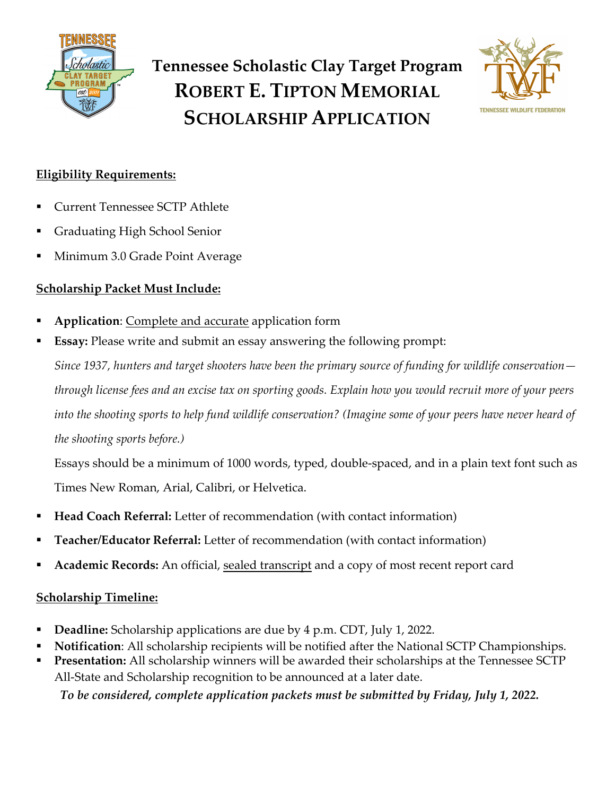



## **Eligibility Requirements:**

- § Current Tennessee SCTP Athlete
- § Graduating High School Senior
- § Minimum 3.0 Grade Point Average

### **Scholarship Packet Must Include:**

- § **Application**: Complete and accurate application form
- **Essay:** Please write and submit an essay answering the following prompt:

*Since 1937, hunters and target shooters have been the primary source of funding for wildlife conservation through license fees and an excise tax on sporting goods. Explain how you would recruit more of your peers into the shooting sports to help fund wildlife conservation? (Imagine some of your peers have never heard of the shooting sports before.)*

Essays should be a minimum of 1000 words, typed, double-spaced, and in a plain text font such as Times New Roman, Arial, Calibri, or Helvetica.

- **Head Coach Referral:** Letter of recommendation (with contact information)
- § **Teacher/Educator Referral:** Letter of recommendation (with contact information)
- § **Academic Records:** An official, sealed transcript and a copy of most recent report card

### **Scholarship Timeline:**

- § **Deadline:** Scholarship applications are due by 4 p.m. CDT, July 1, 2022.
- § **Notification**: All scholarship recipients will be notified after the National SCTP Championships.
- § **Presentation:** All scholarship winners will be awarded their scholarships at the Tennessee SCTP All-State and Scholarship recognition to be announced at a later date. *To be considered, complete application packets must be submitted by Friday, July 1, 2022.*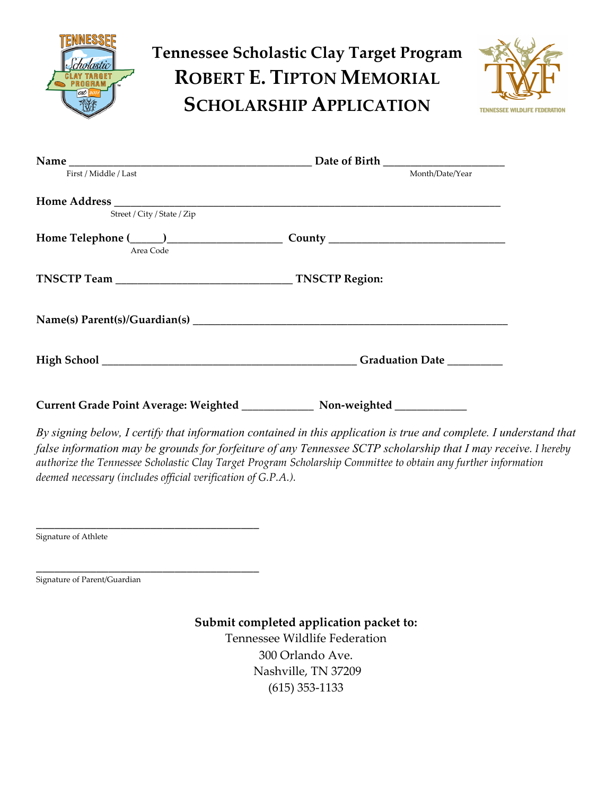

# **Tennessee Scholastic Clay Target Program ROBERT E. TIPTON MEMORIAL SCHOLARSHIP APPLICATION**



|                             | Date of Birth ______________________ |
|-----------------------------|--------------------------------------|
| First / Middle / Last       | Month/Date/Year                      |
|                             |                                      |
| Street / City / State / Zip |                                      |
| Area Code                   |                                      |
|                             |                                      |
|                             |                                      |
|                             |                                      |
|                             |                                      |

*By signing below, I certify that information contained in this application is true and complete. I understand that false information may be grounds for forfeiture of any Tennessee SCTP scholarship that I may receive. I hereby authorize the Tennessee Scholastic Clay Target Program Scholarship Committee to obtain any further information deemed necessary (includes official verification of G.P.A.).* 

Signature of Athlete

\_\_\_\_\_\_\_\_\_\_\_\_\_\_\_\_\_\_\_\_\_\_\_\_\_\_\_\_\_\_\_\_\_\_\_\_\_ Signature of Parent/Guardian

\_\_\_\_\_\_\_\_\_\_\_\_\_\_\_\_\_\_\_\_\_\_\_\_\_\_\_\_ȏ\_\_\_\_\_\_\_\_

#### **Submit completed application packet to:**

Tennessee Wildlife Federation c/o Ashley Tone 300 Orlando Ave. Nashville, TN 37209  $(615)$  $$53-1133$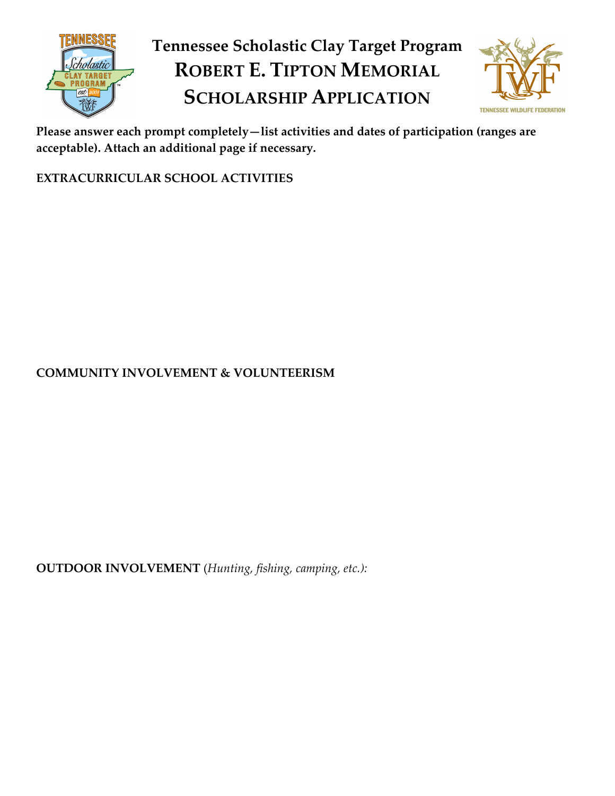

# **Tennessee Scholastic Clay Target Program ROBERT E. TIPTON MEMORIAL SCHOLARSHIP APPLICATION**



**Please answer each prompt completely—list activities and dates of participation (ranges are acceptable). Attach an additional page if necessary.** 

**EXTRACURRICULAR SCHOOL ACTIVITIES**

**COMMUNITY INVOLVEMENT & VOLUNTEERISM**

**OUTDOOR INVOLVEMENT** (*Hunting, fishing, camping, etc.):*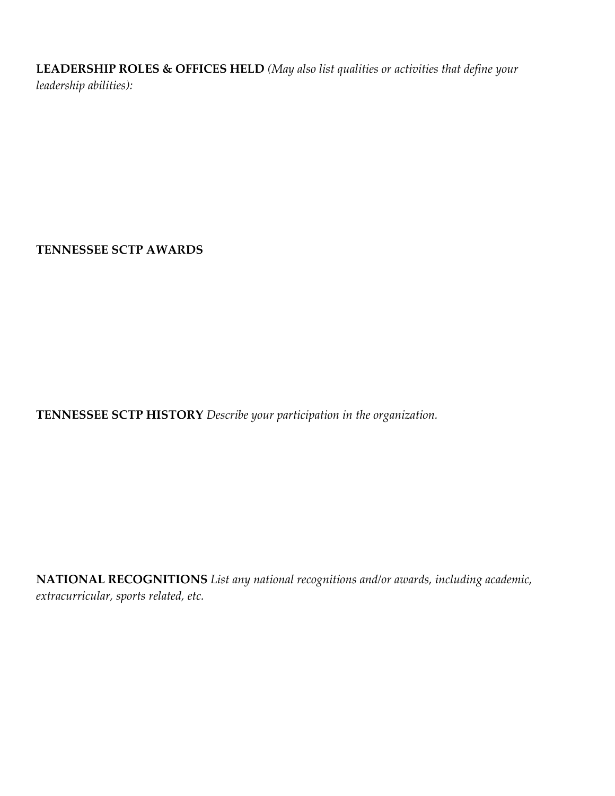**LEADERSHIP ROLES & OFFICES HELD** *(May also list qualities or activities that define your leadership abilities):* 

**TENNESSEE SCTP AWARDS**

**TENNESSEE SCTP HISTORY** *Describe your participation in the organization.* 

**NATIONAL RECOGNITIONS** *List any national recognitions and/or awards, including academic, extracurricular, sports related, etc.*